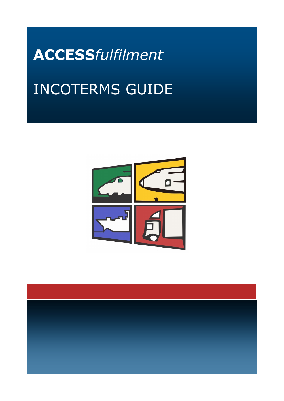# **ACCESS***fulfilment* INCOTERMS GUIDE



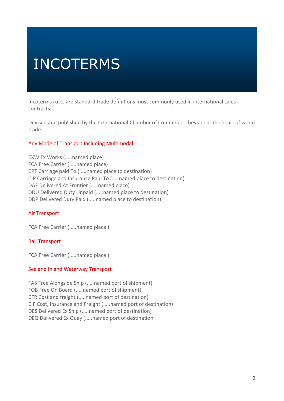# INCOTERMS

Incoterms rules are standard trade definitions most commonly used in international sales contracts.

Devised and published by the International Chamber of Commerce, they are at the heart of world trade.

#### Any Mode of Transport Including Multimodal

EXW Ex Works (.....named place) FCA Free Carrier (.....named place) CPT Carriage paid To (.....named place to destination) CIP Carriage and Insurance Paid To (.....named place to destination) DAF Delivered At Frontier (.....named place) DDU Delivered Duty Unpaid (.....named place to destination) DDP Delivered Duty Paid (.....named place to destination)

### Air Transport

FCA Free Carrier (.....named place )

#### Rail Transport

FCA Free Carrier (.....named place)

#### Sea and Inland Waterway Transport

FAS Free Alongside Ship (.....named port of shipment) FOB Free On Board (.....named port of shipment) CFR Cost and freight (.....named port of destination) CIF Cost, Insurance and Freight (.....named port of destination) DES Delivered Ex Ship (.....named port of destination) DEQ Delivered Ex Quay (.....named port of destination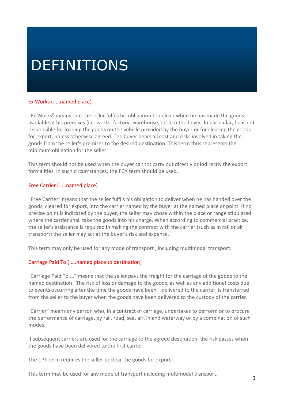#### Ex Works (.....named place)

"Ex Works" means that the seller fulfils his obligation to deliver when he has made the goods available at his premises (i.e. works, factory, warehouse, etc.) to the buyer. In particular, he is not responsible for loading the goods on the vehicle provided by the buyer or for clearing the goods for export, unless otherwise agreed. The buyer bears all cost and risks involved in taking the goods from the seller's premises to the desired destination. This term thus represents the minimum obligation for the seller.

This term should not be used when the buyer cannot carry out directly or indirectly the export formalities. In such circumstances, the FCA term should be used.

#### Free Carrier (.....named place)

"Free Carrier" means that the seller fulfils his obligation to deliver when he has handed over the goods, cleared for export, into the carrier named by the buyer at the named place or point. If no precise point is indicated by the buyer, the seller may chose within the place or range stipulated where the carrier shall take the goods into his charge. When according to commercial practice, the seller's assistance is required in making the contract with the carrier (such as in rail or air transport) the seller may act at the buyer's risk and expense.

This term may only be used for any mode of transport , including multimodal transport.

### Carriage Paid To (.....named place to destination)

"Carriage Paid To ..." means that the seller pays the freight for the carriage of the goods to the named destination. The risk of loss or damage to the goods, as well as any additional costs due to events occurring after the time the goods have been delivered to the carrier, is transferred from the seller to the buyer when the goods have been delivered to the custody of the carrier.

"Carrier" means any person who, in a contract of carriage, undertakes to perform or to procure the performance of carriage, by rail, road, sea, air, inland waterway or by a combination of such modes.

If subsequent carriers are used for the carriage to the agreed destination, the risk passes when the goods have been delivered to the first carrier.

The CPT term requires the seller to clear the goods for export.

This term may be used for any mode of transport including multimodal transport.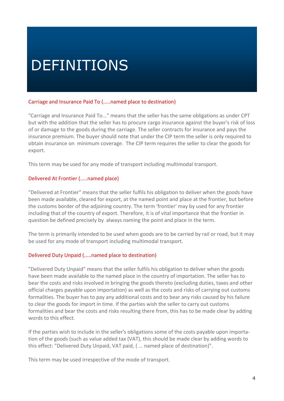#### Carriage and Insurance Paid To (.....named place to destination)

"Carriage and Insurance Paid To..." means that the seller has the same obligations as under CPT but with the addition that the seller has to procure cargo insurance against the buyer's risk of loss of or damage to the goods during the carriage. The seller contracts for insurance and pays the insurance premium. The buyer should note that under the CIP term the seller is only required to obtain insurance on minimum coverage. The CIP term requires the seller to clear the goods for export.

This term may be used for any mode of transport including multimodal transport.

### Delivered At Frontier (.....named place)

"Delivered at Frontier" means that the seller fulfils his obligation to deliver when the goods have been made available, cleared for export, at the named point and place at the frontier, but before the customs border of the adjoining country. The term 'frontier' may by used for any frontier including that of the country of export. Therefore, it is of vital importance that the frontier in question be defined precisely by always naming the point and place in the term.

The term is primarily intended to be used when goods are to be carried by rail or road, but it may be used for any mode of transport including multimodal transport.

### Delivered Duty Unpaid (.....named place to destination)

"Delivered Duty Unpaid" means that the seller fulfils his obligation to deliver when the goods have been made available to the named place in the country of importation. The seller has to bear the costs and risks involved in bringing the goods thereto (excluding duties, taxes and other official charges payable upon importation) as well as the costs and risks of carrying out customs formalities. The buyer has to pay any additional costs and to bear any risks caused by his failure to clear the goods for import in time. If the parties wish the seller to carry out customs formalities and bear the costs and risks resulting there from, this has to be made clear by adding words to this effect.

If the parties wish to include in the seller's obligations some of the costs payable upon importation of the goods (such as value added tax (VAT), this should be made clear by adding words to this effect: "Delivered Duty Unpaid, VAT paid, ( ... named place of destination)".

This term may be used irrespective of the mode of transport.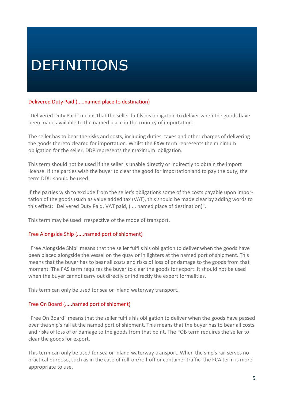#### Delivered Duty Paid (.....named place to destination)

"Delivered Duty Paid" means that the seller fulfils his obligation to deliver when the goods have been made available to the named place in the country of importation.

The seller has to bear the risks and costs, including duties, taxes and other charges of delivering the goods thereto cleared for importation. Whilst the EXW term represents the minimum obligation for the seller, DDP represents the maximum obligation.

This term should not be used if the seller is unable directly or indirectly to obtain the import license. If the parties wish the buyer to clear the good for importation and to pay the duty, the term DDU should be used.

If the parties wish to exclude from the seller's obligations some of the costs payable upon importation of the goods (such as value added tax (VAT), this should be made clear by adding words to this effect: "Delivered Duty Paid, VAT paid, ( ... named place of destination)".

This term may be used irrespective of the mode of transport.

#### Free Alongside Ship (.....named port of shipment)

"Free Alongside Ship" means that the seller fulfils his obligation to deliver when the goods have been placed alongside the vessel on the quay or in lighters at the named port of shipment. This means that the buyer has to bear all costs and risks of loss of or damage to the goods from that moment. The FAS term requires the buyer to clear the goods for export. It should not be used when the buyer cannot carry out directly or indirectly the export formalities.

This term can only be used for sea or inland waterway transport.

#### Free On Board (.....named port of shipment)

"Free On Board" means that the seller fulfils his obligation to deliver when the goods have passed over the ship's rail at the named port of shipment. This means that the buyer has to bear all costs and risks of loss of or damage to the goods from that point. The FOB term requires the seller to clear the goods for export.

This term can only be used for sea or inland waterway transport. When the ship's rail serves no practical purpose, such as in the case of roll-on/roll-off or container traffic, the FCA term is more appropriate to use.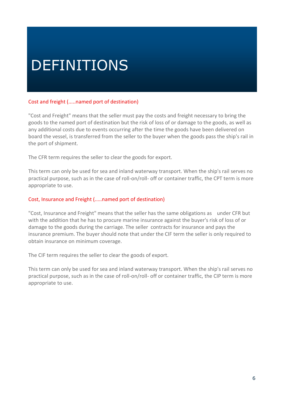#### Cost and freight (.....named port of destination)

"Cost and Freight" means that the seller must pay the costs and freight necessary to bring the goods to the named port of destination but the risk of loss of or damage to the goods, as well as any additional costs due to events occurring after the time the goods have been delivered on board the vessel, is transferred from the seller to the buyer when the goods pass the ship's rail in the port of shipment.

The CFR term requires the seller to clear the goods for export.

This term can only be used for sea and inland waterway transport. When the ship's rail serves no practical purpose, such as in the case of roll-on/roll- off or container traffic, the CPT term is more appropriate to use.

#### Cost, Insurance and Freight (.....named port of destination)

"Cost, Insurance and Freight" means that the seller has the same obligations as under CFR but with the addition that he has to procure marine insurance against the buyer's risk of loss of or damage to the goods during the carriage. The seller contracts for insurance and pays the insurance premium. The buyer should note that under the CIF term the seller is only required to obtain insurance on minimum coverage.

The CIF term requires the seller to clear the goods of export.

This term can only be used for sea and inland waterway transport. When the ship's rail serves no practical purpose, such as in the case of roll-on/roll- off or container traffic, the CIP term is more appropriate to use.